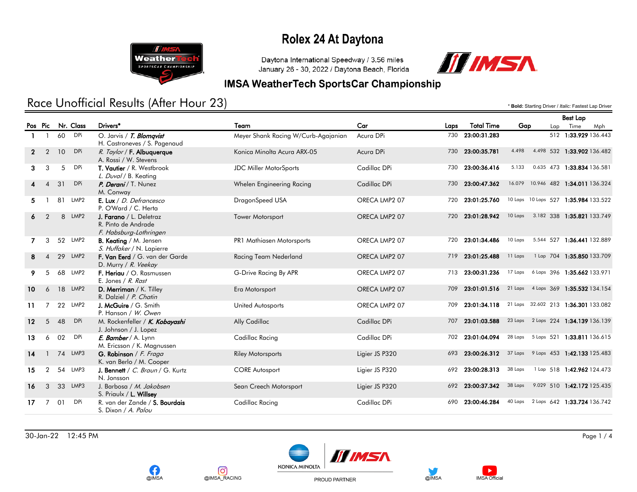

Daytona International Speedway / 3.56 miles January 26 - 30, 2022 / Daytona Beach, Florida



#### **IMSA WeatherTech SportsCar Championship**

### Race Unofficial Results (After Hour 23) **Exactled According Driver /** *Italic:* **Fastest Lap Driver /** *Italic:* **Fastest Lap Driver**

|              |                |    |            |                                                                          |                                     |                |      |                   |                                     | <b>Best Lap</b> |                                      |  |
|--------------|----------------|----|------------|--------------------------------------------------------------------------|-------------------------------------|----------------|------|-------------------|-------------------------------------|-----------------|--------------------------------------|--|
|              | Pos Pic        |    | Nr. Class  | Drivers*                                                                 | Team                                | Car            | Laps | <b>Total Time</b> | Gap                                 | Lap             | Time<br>Mph                          |  |
|              |                | 60 | <b>DPi</b> | O. Jarvis / T. Blomqvist<br>H. Castroneves / S. Pagenaud                 | Meyer Shank Racing W/Curb-Agajanian | Acura DPi      | 730  | 23:00:31.283      |                                     |                 | 512 1:33.929 136.443                 |  |
| $\mathbf{2}$ | $\mathcal{P}$  | 10 | <b>DPi</b> | R. Taylor / F. Albuquerque<br>A. Rossi / W. Stevens                      | Konica Minolta Acura ARX-05         | Acura DPi      |      | 730 23:00:35.781  | 4.498                               |                 | 4.498 532 1:33.902 136.482           |  |
| 3.           | 3              | 5  | <b>DPi</b> | T. Vautier / R. Westbrook<br>L. Duval / B. Keating                       | <b>JDC Miller MotorSports</b>       | Cadillac DPi   |      | 730 23:00:36.416  | 5.133                               |                 | 0.635 473 1:33.834 136.581           |  |
|              | 4              | 31 | <b>DPi</b> | P. Derani / T. Nunez<br>M. Conway                                        | Whelen Engineering Racing           | Cadillac DPi   |      | 730 23:00:47.362  |                                     |                 | 16.079 10.946 482 1:34.011 136.324   |  |
| 5.           |                | 81 | LMP2       | E. Lux / D. Defrancesco<br>P. O'Ward / C. Herta                          | DragonSpeed USA                     | ORECA LMP2 07  | 720  | 23:01:25.760      |                                     |                 | 10 Laps 10 Laps 527 1:35.984 133.522 |  |
| 6            | $\mathcal{P}$  |    | 8 LMP2     | J. Farano / L. Deletraz<br>R. Pinto de Andrade<br>F. Habsburg-Lothringen | <b>Tower Motorsport</b>             | ORECA LMP2 07  |      | 720 23:01:28.942  |                                     |                 | 10 Laps 3.182 338 1:35.821 133.749   |  |
|              | 3              |    | 52 LMP2    | <b>B. Keating / M. Jensen</b><br>S. Huffaker / N. Lapierre               | PR1 Mathiasen Motorsports           | ORECA LMP2 07  |      | 720 23:01:34.486  | 10 Laps                             |                 | 5.544 527 1:36.441 132.889           |  |
| 8            |                | 29 | LMP2       | F. Van Eerd / G. van der Garde<br>D. Murry / R. Veekay                   | Racing Team Nederland               | ORECA LMP2 07  |      | 719 23:01:25.488  | 11 Laps                             |                 | 1 Lap 704 1:35.850 133.709           |  |
|              | 5              |    | 68 LMP2    | F. Heriau / O. Rasmussen<br>E. Jones / R. Rast                           | G-Drive Racing By APR               | ORECA LMP2 07  | 713  | 23:00:31.236      | 17 Laps                             |                 | 6 Laps 396 1:35.662 133.971          |  |
| 10           | 6              |    | 18 LMP2    | D. Merriman / K. Tilley<br>R. Dalziel / P. Chatin                        | Era Motorsport                      | ORECA LMP2 07  | 709  | 23:01:01.516      | 21 Laps 4 Laps 369 1:35.532 134.154 |                 |                                      |  |
| 11           |                |    | 22 LMP2    | J. McGuire / G. Smith<br>P. Hanson / W. Owen                             | United Autosports                   | ORECA LMP2 07  | 709  | 23:01:34.118      | 21 Laps 32.602 213 1:36.301 133.082 |                 |                                      |  |
| $12 \,$      | 5              | 48 | <b>DPi</b> | M. Rockenfeller / K. Kobayashi<br>J. Johnson / J. Lopez                  | Ally Cadillac                       | Cadillac DPi   | 707  | 23:01:03.588      |                                     |                 | 23 Laps 2 Laps 224 1:34.139 136.139  |  |
| 13           | 6              | 02 | <b>DPi</b> | E. Bamber / A. Lynn<br>M. Ericsson / K. Magnussen                        | Cadillac Racing                     | Cadillac DPi   |      | 702 23:01:04.094  |                                     |                 | 28 Laps 5 Laps 521 1:33.811 136.615  |  |
| 14           |                |    | 74 LMP3    | G. Robinson / F. Fraga<br>K. van Berlo / M. Cooper                       | <b>Riley Motorsports</b>            | Ligier JS P320 | 693  | 23:00:26.312      |                                     |                 | 37 Laps 9 Laps 453 1:42.133 125.483  |  |
| 15           | $\overline{2}$ |    | 54 LMP3    | J. Bennett / C. Braun / G. Kurtz<br>N. Jonsson                           | <b>CORE Autosport</b>               | Ligier JS P320 |      | 692 23:00:28.313  | 38 Laps                             |                 | 1 Lap 518 1:42.962 124.473           |  |
| 16           | 3              |    | 33 LMP3    | J. Barbosa / M. Jakobsen<br>S. Priaulx / L. Willsey                      | Sean Creech Motorsport              | Ligier JS P320 | 692  | 23:00:37.342      | 38 Laps                             |                 | 9.029 510 1:42.172 125.435           |  |
| 17           | $\overline{7}$ | 01 | <b>DPi</b> | R. van der Zande / S. Bourdais<br>S. Dixon / A. Palou                    | Cadillac Racing                     | Cadillac DPi   | 690  | 23:00:46.284      | 40 Laps                             |                 | 2 Laps 642 1:33.724 136.742          |  |

30-Jan-22 12:45 PM Page 1 / 4







PROUD PARTNER



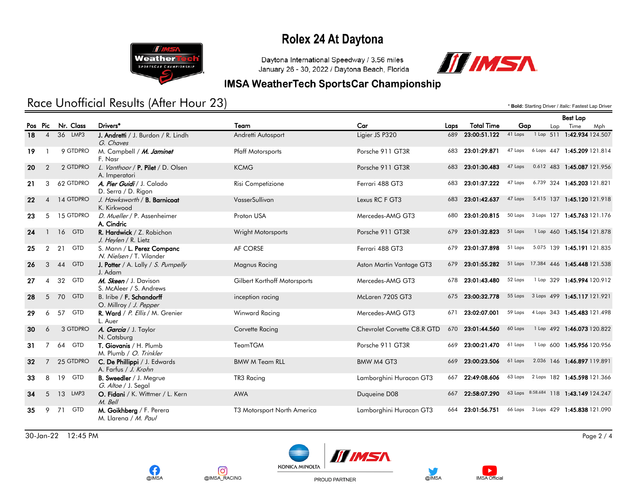

Daytona International Speedway / 3.56 miles January 26 - 30, 2022 / Daytona Beach, Florida



#### **IMSA WeatherTech SportsCar Championship**

### Race Unofficial Results (After Hour 23) **Exactled According Driver /** *Italic:* **Fastest Lap Driver /** *Italic:* **Fastest Lap Driver**

Best Lap

|    |                |                  |                                                        |                              |                             |      |                                                      |                  |  |     | best Lap                            |     |
|----|----------------|------------------|--------------------------------------------------------|------------------------------|-----------------------------|------|------------------------------------------------------|------------------|--|-----|-------------------------------------|-----|
|    | Pos Pic        | Nr. Class        | Drivers*                                               | Team                         | Car                         | Laps | <b>Total Time</b>                                    | Gap              |  | Lap | Time                                | Mph |
| 18 | $\overline{4}$ | 36 LMP3          | J. Andretti / J. Burdon / R. Lindh<br>G. Chaves        | Andretti Autosport           | Ligier JS P320              | 689  | 23:00:51.122 41 Laps                                 |                  |  |     | 1 Lap 511 1:42.934 124.507          |     |
| 19 |                | 9 GTDPRO         | M. Campbell / M. Jaminet<br>F. Nasr                    | <b>Pfaff Motorsports</b>     | Porsche 911 GT3R            |      | 683 23:01:29.871                                     | 47 Laps          |  |     | 6 Laps 447 1:45.209 121.814         |     |
| 20 | 2              | 2 GTDPRO         | L. Vanthoor / P. Pilet / D. Olsen<br>A. Imperatori     | <b>KCMG</b>                  | Porsche 911 GT3R            |      | 683 23:01:30.483                                     | 47 Laps          |  |     | 0.612 483 1:45.087 121.956          |     |
| 21 | 3              | 62 GTDPRO        | A. Pier Guidi / J. Calado<br>D. Serra / D. Rigon       | Risi Competizione            | Ferrari 488 GT3             | 683  | 23:01:37.222                                         | 47 Laps          |  |     | 6.739 324 1:45.203 121.821          |     |
| 22 |                | 4 14 GTDPRO      | J. Hawksworth / B. Barnicoat<br>K. Kirkwood            | VasserSullivan               | Lexus RC F GT3              |      | 683 23:01:42.637                                     |                  |  |     | 47 Laps 5.415 137 1:45.120 121.918  |     |
| 23 | 5              | 15 GTDPRO        | D. Mueller / P. Assenheimer<br>A. Cindric              | Proton USA                   | Mercedes-AMG GT3            | 680  | 23:01:20.815                                         |                  |  |     | 50 Laps 3 Laps 127 1:45.763 121.176 |     |
| 24 |                | 16 GTD           | R. Hardwick / Z. Robichon<br>J. Heylen / R. Lietz      | <b>Wright Motorsports</b>    | Porsche 911 GT3R            |      | 679 23:01:32.823                                     | 51 Laps          |  |     | 1 Lap 460 1:45.154 121.878          |     |
| 25 | 2              | 21<br>GTD        | S. Mann / L. Perez Companc<br>N. Nielsen / T. Vilander | AF CORSE                     | Ferrari 488 GT3             |      | 679 23:01:37.898 51 Laps                             |                  |  |     | 5.075 139 1:45.191 121.835          |     |
| 26 | 3              | GTD<br>44        | <b>J. Potter</b> / A. Lally / S. Pumpelly<br>J. Adam   | <b>Magnus Racing</b>         | Aston Martin Vantage GT3    |      | 679 23:01:55.282 51 Laps 17.384 446 1:45.448 121.538 |                  |  |     |                                     |     |
| 27 | $\overline{4}$ | 32<br>GTD        | M. Skeen / J. Davison<br>S. McAleer / S. Andrews       | Gilbert Korthoff Motorsports | Mercedes-AMG GT3            |      | 678 23:01:43.480                                     | 52 Laps          |  |     | 1 Lap 329 1:45.994 120.912          |     |
| 28 | 5 <sup>5</sup> | GTD<br>70        | B. Iribe / F. Schandorff<br>O. Millroy / J. Pepper     | inception racing             | McLaren 720S GT3            |      | 675 23:00:32.778                                     |                  |  |     | 55 Laps 3 Laps 499 1:45.117 121.921 |     |
| 29 | 6              | 57<br>GTD        | R. Ward / P. Ellis / M. Grenier<br>L. Auer             | <b>Winward Racing</b>        | Mercedes-AMG GT3            |      | 671 23:02:07.001                                     |                  |  |     | 59 Laps 4 Laps 343 1:45.483 121.498 |     |
| 30 | 6              | 3 GTDPRO         | A. Garcia / J. Taylor<br>N. Catsburg                   | Corvette Racing              | Chevrolet Corvette C8.R GTD |      | 670 23:01:44.560                                     | 60 Laps          |  |     | 1 Lap 492 1:46.073 120.822          |     |
| 31 | 7              | GTD<br>64        | T. Giovanis / H. Plumb<br>M. Plumb / O. Trinkler       | TeamTGM                      | Porsche 911 GT3R            |      | 669 23:00:21.470                                     | 61 Laps          |  |     | 1 Lap 600 1:45.956 120.956          |     |
| 32 | $\overline{7}$ | 25 GTDPRO        | C. De Phillippi / J. Edwards<br>A. Farfus / J. Krohn   | <b>BMW M Team RLL</b>        | BMW M4 GT3                  |      | 669 23:00:23.506                                     | 61 Laps          |  |     | 2.036 146 1:46.897 119.891          |     |
| 33 | 8              | <b>GTD</b><br>19 | <b>B. Sweedler</b> / J. Megrue<br>G. Altoe / J. Segal  | TR3 Racing                   | Lamborghini Huracan GT3     |      | 667 22:49:08.606                                     |                  |  |     | 63 Laps 2 Laps 182 1:45.598 121.366 |     |
| 34 | 5              | 13 LMP3          | O. Fidani / K. Wittmer / L. Kern<br>M. Bell            | <b>AWA</b>                   | Duqueine D08                | 667  | 22:58:07.290                                         | 63 Laps 8:58.684 |  |     | 118 1:43.149 124.247                |     |
| 35 | 9              | GTD<br>71        | M. Goikhberg / F. Perera<br>M. Llarena / M. Paul       | T3 Motorsport North America  | Lamborghini Huracan GT3     | 664  | 23:01:56.751                                         | 66 Laps          |  |     | 3 Laps 429 1:45.838 121.090         |     |

30-Jan-22 12:45 PM Page 2 / 4







PROUD PARTNER



 $\blacktriangleright$ 

**IMSA Official**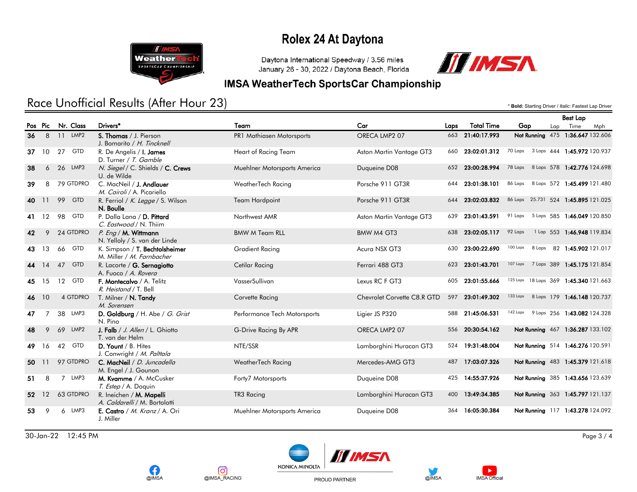

Daytona International Speedway / 3.56 miles January 26 - 30, 2022 / Daytona Beach, Florida



#### **IMSA WeatherTech SportsCar Championship**

### Race Unofficial Results (After Hour 23) **Exactled According Driver /** *Italic:* **Fastest Lap Driver /** *Italic:* **Fastest Lap Driver**

|       |           |                        |                                                             |                              |                             |      |                   |                                       | <b>Best Lap</b> |                             |     |
|-------|-----------|------------------------|-------------------------------------------------------------|------------------------------|-----------------------------|------|-------------------|---------------------------------------|-----------------|-----------------------------|-----|
|       | Pos Pic   | Nr. Class              | Drivers <sup>*</sup>                                        | Team                         | Car                         | Laps | <b>Total Time</b> | Gap                                   | Lap             | Time                        | Mph |
| 36    | 8         | 11 LMP2                | S. Thomas / J. Pierson<br>J. Bomarito / H. Tincknell        | PR1 Mathiasen Motorsports    | ORECA LMP2 07               |      | 663 21:40:17.993  | Not Running 475 1:36.647 132.606      |                 |                             |     |
| 37    | <b>10</b> | <b>GTD</b><br>27       | R. De Angelis / <b>I. James</b><br>D. Turner / T. Gamble    | Heart of Racing Team         | Aston Martin Vantage GT3    | 660  | 23:02:01.312      | 70 Laps 3 Laps 444 1:45.972 120.937   |                 |                             |     |
| 38    | 6         | LMP3<br>26             | N. Siegel / C. Shields / C. Crews<br>U. de Wilde            | Muehlner Motorsports America | Duqueine D08                | 652  | 23:00:28.994      | 78 Laps                               |                 | 8 Laps 578 1:42.776 124.698 |     |
| 39    | 8         | 79 GTDPRO              | C. MacNeil / J. Andlauer<br>M. Cairoli / A. Picariello      | WeatherTech Racing           | Porsche 911 GT3R            | 644  | 23:01:38.101      | 86 Laps                               |                 | 8 Laps 572 1:45.499 121.480 |     |
| 40    | 11        | 99<br>GTD              | R. Ferriol / K. Legge / S. Wilson<br>N. Boulle              | <b>Team Hardpoint</b>        | Porsche 911 GT3R            | 644  | 23:02:03.832      | 86 Laps 25.731 524 1:45.895 121.025   |                 |                             |     |
| 41    | 12        | GTD<br>98              | P. Dalla Lana / D. Pittard<br>C. Eastwood / N. Thiim        | Northwest AMR                | Aston Martin Vantage GT3    | 639  | 23:01:43.591      | 91 Laps 5 Laps 585 1:46.049 120.850   |                 |                             |     |
| 42    | 9         | 24 GTDPRO              | P. Eng / M. Wittmann<br>N. Yelloly / S. van der Linde       | <b>BMW M Team RLL</b>        | BMW M4 GT3                  |      | 638 23:02:05.117  | 92 Laps                               |                 | 1 Lap 553 1:46.948 119.834  |     |
| 43    | 13        | 66 GTD                 | K. Simpson / T. Bechtolsheimer<br>M. Miller / M. Farnbacher | <b>Gradient Racing</b>       | Acura NSX GT3               | 630  | 23:00:22.690      | 100 Laps<br>8 Laps                    |                 | 82 1:45.902 121.017         |     |
| 44    | 14        | 47 GTD                 | R. Lacorte / G. Sernagiotto<br>A. Fuoco / A. Rovera         | Cetilar Racing               | Ferrari 488 GT3             | 623  | 23:01:43.701      | 107 Laps                              |                 | 7 Laps 389 1:45.175 121.854 |     |
|       | 45 15     | 12 GTD                 | F. Montecalvo / A. Telitz<br>R. Heistand / T. Bell          | VasserSullivan               | Lexus RC F GT3              |      | 605 23:01:55.666  | 125 Laps 18 Laps 369 1:45.340 121.663 |                 |                             |     |
| 46    | 10        | 4 GTDPRO               | T. Milner / N. Tandy<br>M. Sorensen                         | Corvette Racing              | Chevrolet Corvette C8.R GTD |      | 597 23:01:49.302  | 133 Laps                              |                 | 8 Laps 179 1:46.148 120.737 |     |
| 47    | 7         | 38 LMP3                | D. Goldburg / H. Abe / G. Grist<br>N. Pino                  | Performance Tech Motorsports | Ligier JS P320              |      | 588 21:45:06.531  | 142 Laps                              |                 | 9 Laps 256 1:43.082 124.328 |     |
| 48    | 9         | LMP2<br>69             | J. Falb / J. Allen / L. Ghiotto<br>T. van der Helm          | G-Drive Racing By APR        | ORECA LMP2 07               |      | 556 20:30:54.162  | Not Running 467 1:36.287 133.102      |                 |                             |     |
| 49    | 16        | <b>GTD</b><br>42       | D. Yount / B. Hites<br>J. Conwright / M. Palttala           | NTE/SSR                      | Lamborghini Huracan GT3     | 524  | 19:31:48.004      | Not Running 514 1:46.276 120.591      |                 |                             |     |
| 50 11 |           | 97 GTDPRO              | C. MacNeil / D. Juncadella<br>M. Engel / J. Gounon          | WeatherTech Racing           | Mercedes-AMG GT3            | 487  | 17:03:07.326      | Not Running 483 1:45.379 121.618      |                 |                             |     |
| 51    | 8         | LMP3<br>$\overline{7}$ | M. Kvamme / A. McCusker<br>T. Estep / A. Doquin             | Forty7 Motorsports           | Duqueine D08                | 425  | 14:55:37.926      | Not Running 385 1:43.656 123.639      |                 |                             |     |
|       | 52 12     | 63 GTDPRO              | R. Ineichen / M. Mapelli<br>A. Caldarelli / M. Bortolotti   | TR3 Racing                   | Lamborghini Huracan GT3     | 400  | 13:49:34.385      | Not Running 363 1:45.797 121.137      |                 |                             |     |
| 53    | 9         | LMP3<br>6              | E. Castro / M. Kranz / A. Ori<br>J. Miller                  | Muehlner Motorsports America | Duqueine D08                | 364  | 16:05:30.384      | Not Running 117 1:43.278 124.092      |                 |                             |     |

30-Jan-22 12:45 PM Page 3 / 4







PROUD PARTNER



 $\blacktriangleright$ 

**IMSA Official**